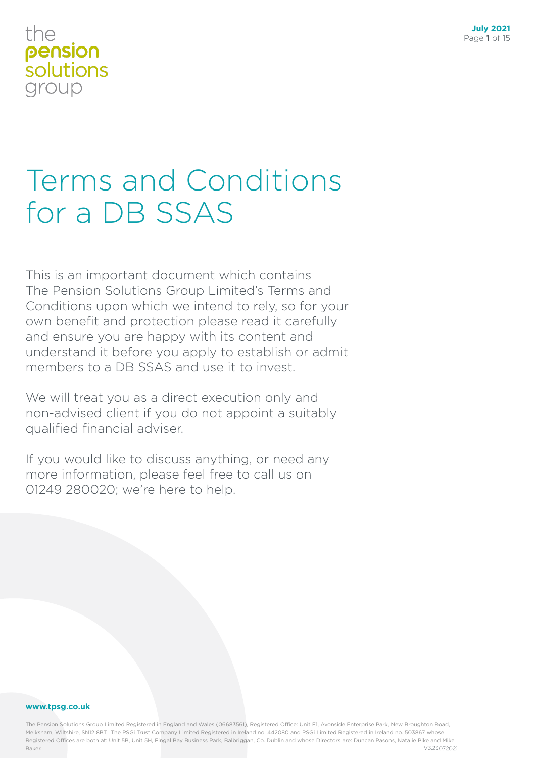# Terms and Conditions for a DB SSAS

This is an important document which contains The Pension Solutions Group Limited's Terms and Conditions upon which we intend to rely, so for your own benefit and protection please read it carefully and ensure you are happy with its content and understand it before you apply to establish or admit members to a DB SSAS and use it to invest.

We will treat you as a direct execution only and non-advised client if you do not appoint a suitably qualified financial adviser.

If you would like to discuss anything, or need any more information, please feel free to call us on 01249 280020; we're here to help.

#### **www.tpsg.co.uk**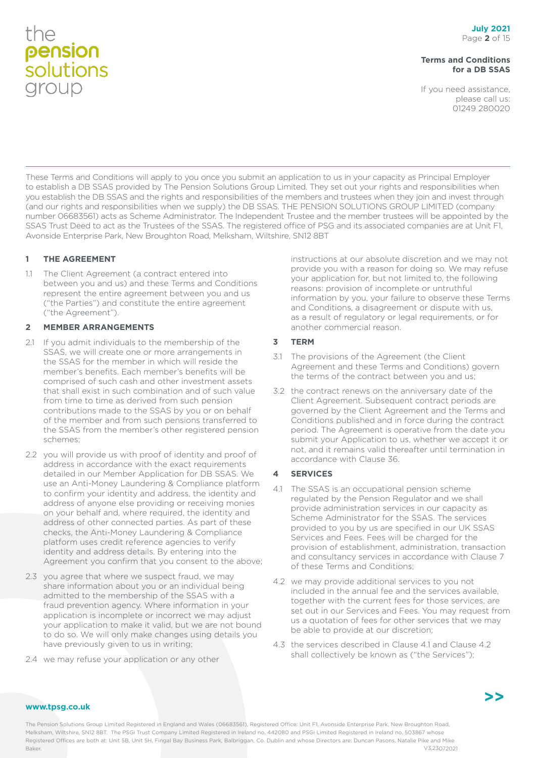#### **Terms and Conditions for a DB SSAS**

If you need assistance, please call us: 01249 280020

These Terms and Conditions will apply to you once you submit an application to us in your capacity as Principal Employer to establish a DB SSAS provided by The Pension Solutions Group Limited. They set out your rights and responsibilities when you establish the DB SSAS and the rights and responsibilities of the members and trustees when they join and invest through (and our rights and responsibilities when we supply) the DB SSAS. THE PENSION SOLUTIONS GROUP LIMITED (company number 06683561) acts as Scheme Administrator. The Independent Trustee and the member trustees will be appointed by the SSAS Trust Deed to act as the Trustees of the SSAS. The registered office of PSG and its associated companies are at Unit F1, Avonside Enterprise Park, New Broughton Road, Melksham, Wiltshire, SN12 8BT

#### **1 THE AGREEMENT**

1.1 The Client Agreement (a contract entered into between you and us) and these Terms and Conditions represent the entire agreement between you and us ("the Parties") and constitute the entire agreement ("the Agreement").

#### **2 MEMBER ARRANGEMENTS**

- 2.1 If you admit individuals to the membership of the SSAS, we will create one or more arrangements in the SSAS for the member in which will reside the member's benefits. Each member's benefits will be comprised of such cash and other investment assets that shall exist in such combination and of such value from time to time as derived from such pension contributions made to the SSAS by you or on behalf of the member and from such pensions transferred to the SSAS from the member's other registered pension schemes;
- 2.2 you will provide us with proof of identity and proof of address in accordance with the exact requirements detailed in our Member Application for DB SSAS. We use an Anti-Money Laundering & Compliance platform to confirm your identity and address, the identity and address of anyone else providing or receiving monies on your behalf and, where required, the identity and address of other connected parties. As part of these checks, the Anti-Money Laundering & Compliance platform uses credit reference agencies to verify identity and address details. By entering into the Agreement you confirm that you consent to the above;
- 2.3 you agree that where we suspect fraud, we may share information about you or an individual being admitted to the membership of the SSAS with a fraud prevention agency. Where information in your application is incomplete or incorrect we may adjust your application to make it valid, but we are not bound to do so. We will only make changes using details you have previously given to us in writing;
- 2.4 we may refuse your application or any other

instructions at our absolute discretion and we may not provide you with a reason for doing so. We may refuse your application for, but not limited to, the following reasons: provision of incomplete or untruthful information by you, your failure to observe these Terms and Conditions, a disagreement or dispute with us, as a result of regulatory or legal requirements, or for another commercial reason.

#### **3 TERM**

- 3.1 The provisions of the Agreement (the Client Agreement and these Terms and Conditions) govern the terms of the contract between you and us;
- 3.2 the contract renews on the anniversary date of the Client Agreement. Subsequent contract periods are governed by the Client Agreement and the Terms and Conditions published and in force during the contract period. The Agreement is operative from the date you submit your Application to us, whether we accept it or not, and it remains valid thereafter until termination in accordance with Clause 36.

#### **4 SERVICES**

- 4.1 The SSAS is an occupational pension scheme regulated by the Pension Regulator and we shall provide administration services in our capacity as Scheme Administrator for the SSAS. The services provided to you by us are specified in our UK SSAS Services and Fees. Fees will be charged for the provision of establishment, administration, transaction and consultancy services in accordance with Clause 7 of these Terms and Conditions;
- 4.2 we may provide additional services to you not included in the annual fee and the services available, together with the current fees for those services, are set out in our Services and Fees. You may request from us a quotation of fees for other services that we may be able to provide at our discretion;
- 4.3 the services described in Clause 4.1 and Clause 4.2 shall collectively be known as ("the Services");

#### **www.tpsg.co.uk**

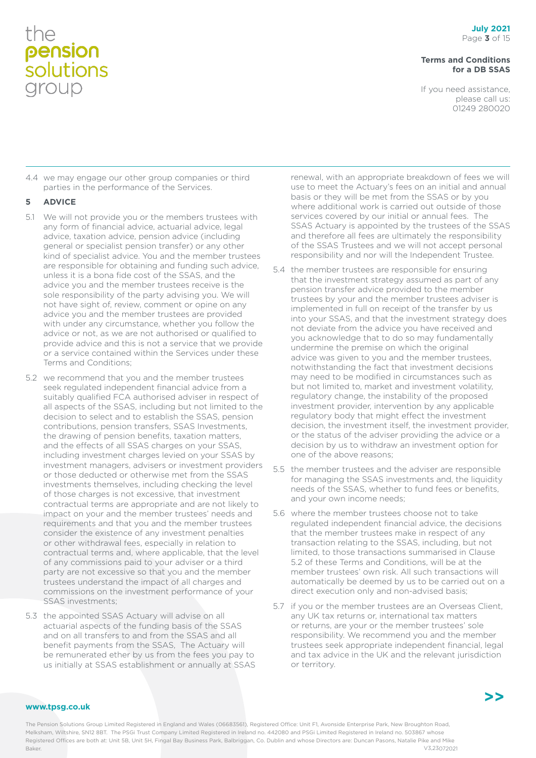#### **Terms and Conditions for a DB SSAS**

If you need assistance, please call us: 01249 280020

4.4 we may engage our other group companies or third parties in the performance of the Services.

#### **5 ADVICE**

- 5.1 We will not provide you or the members trustees with any form of financial advice, actuarial advice, legal advice, taxation advice, pension advice (including general or specialist pension transfer) or any other kind of specialist advice. You and the member trustees are responsible for obtaining and funding such advice, unless it is a bona fide cost of the SSAS, and the advice you and the member trustees receive is the sole responsibility of the party advising you. We will not have sight of, review, comment or opine on any advice you and the member trustees are provided with under any circumstance, whether you follow the advice or not, as we are not authorised or qualified to provide advice and this is not a service that we provide or a service contained within the Services under these Terms and Conditions;
- 5.2 we recommend that you and the member trustees seek regulated independent financial advice from a suitably qualified FCA authorised adviser in respect of all aspects of the SSAS, including but not limited to the decision to select and to establish the SSAS, pension contributions, pension transfers, SSAS Investments, the drawing of pension benefits, taxation matters, and the effects of all SSAS charges on your SSAS, including investment charges levied on your SSAS by investment managers, advisers or investment providers or those deducted or otherwise met from the SSAS investments themselves, including checking the level of those charges is not excessive, that investment contractual terms are appropriate and are not likely to impact on your and the member trustees' needs and requirements and that you and the member trustees consider the existence of any investment penalties or other withdrawal fees, especially in relation to contractual terms and, where applicable, that the level of any commissions paid to your adviser or a third party are not excessive so that you and the member trustees understand the impact of all charges and commissions on the investment performance of your SSAS investments;
- 5.3 the appointed SSAS Actuary will advise on all actuarial aspects of the funding basis of the SSAS and on all transfers to and from the SSAS and all benefit payments from the SSAS, The Actuary will be remunerated ether by us from the fees you pay to us initially at SSAS establishment or annually at SSAS

renewal, with an appropriate breakdown of fees we will use to meet the Actuary's fees on an initial and annual basis or they will be met from the SSAS or by you where additional work is carried out outside of those services covered by our initial or annual fees. The SSAS Actuary is appointed by the trustees of the SSAS and therefore all fees are ultimately the responsibility of the SSAS Trustees and we will not accept personal responsibility and nor will the Independent Trustee.

- 5.4 the member trustees are responsible for ensuring that the investment strategy assumed as part of any pension transfer advice provided to the member trustees by your and the member trustees adviser is implemented in full on receipt of the transfer by us into your SSAS, and that the investment strategy does not deviate from the advice you have received and you acknowledge that to do so may fundamentally undermine the premise on which the original advice was given to you and the member trustees, notwithstanding the fact that investment decisions may need to be modified in circumstances such as but not limited to, market and investment volatility, regulatory change, the instability of the proposed investment provider, intervention by any applicable regulatory body that might effect the investment decision, the investment itself, the investment provider, or the status of the adviser providing the advice or a decision by us to withdraw an investment option for one of the above reasons;
- 5.5 the member trustees and the adviser are responsible for managing the SSAS investments and, the liquidity needs of the SSAS, whether to fund fees or benefits, and your own income needs;
- 5.6 where the member trustees choose not to take regulated independent financial advice, the decisions that the member trustees make in respect of any transaction relating to the SSAS, including, but not limited, to those transactions summarised in Clause 5.2 of these Terms and Conditions, will be at the member trustees' own risk. All such transactions will automatically be deemed by us to be carried out on a direct execution only and non-advised basis;
- 5.7 if you or the member trustees are an Overseas Client, any UK tax returns or, international tax matters or returns, are your or the member trustees' sole responsibility. We recommend you and the member trustees seek appropriate independent financial, legal and tax advice in the UK and the relevant jurisdiction or territory.

#### **www.tpsg.co.uk**

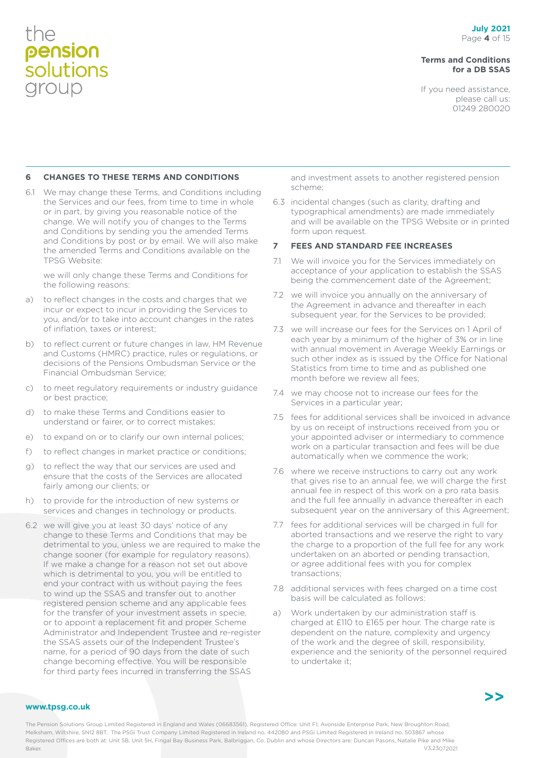#### **Terms and Conditions for a DB SSAS**

If you need assistance, please call us: 01249 280020

#### **6 CHANGES TO THESE TERMS AND CONDITIONS**

6.1 We may change these Terms, and Conditions including the Services and our fees, from time to time in whole or in part, by giving you reasonable notice of the change. We will notify you of changes to the Terms and Conditions by sending you the amended Terms and Conditions by post or by email. We will also make the amended Terms and Conditions available on the TPSG Website:

we will only change these Terms and Conditions for the following reasons:

- a) to reflect changes in the costs and charges that we incur or expect to incur in providing the Services to you, and/or to take into account changes in the rates of inflation, taxes or interest;
- b) to reflect current or future changes in law, HM Revenue and Customs (HMRC) practice, rules or regulations, or decisions of the Pensions Ombudsman Service or the Financial Ombudsman Service;
- c) to meet regulatory requirements or industry guidance or best practice;
- d) to make these Terms and Conditions easier to understand or fairer, or to correct mistakes;
- e) to expand on or to clarify our own internal polices;
- f) to reflect changes in market practice or conditions;
- g) to reflect the way that our services are used and ensure that the costs of the Services are allocated fairly among our clients; or
- h) to provide for the introduction of new systems or services and changes in technology or products.
- 6.2 we will give you at least 30 days' notice of any change to these Terms and Conditions that may be detrimental to you, unless we are required to make the change sooner (for example for regulatory reasons). If we make a change for a reason not set out above which is detrimental to you, you will be entitled to end your contract with us without paying the fees to wind up the SSAS and transfer out to another registered pension scheme and any applicable fees for the transfer of your investment assets in specie, or to appoint a replacement fit and proper Scheme Administrator and Independent Trustee and re-register the SSAS assets our of the Independent Trustee's name, for a period of 90 days from the date of such change becoming effective. You will be responsible for third party fees incurred in transferring the SSAS

and investment assets to another registered pension scheme;

6.3 incidental changes (such as clarity, drafting and typographical amendments) are made immediately and will be available on the TPSG Website or in printed form upon request.

#### **7 FEES AND STANDARD FEE INCREASES**

- 7.1 We will invoice you for the Services immediately on acceptance of your application to establish the SSAS being the commencement date of the Agreement;
- 7.2 we will invoice you annually on the anniversary of the Agreement in advance and thereafter in each subsequent year, for the Services to be provided;
- 7.3 we will increase our fees for the Services on 1 April of each year by a minimum of the higher of 3% or in line with annual movement in Average Weekly Earnings or such other index as is issued by the Office for National Statistics from time to time and as published one month before we review all fees;
- 7.4 we may choose not to increase our fees for the Services in a particular year;
- 7.5 fees for additional services shall be invoiced in advance by us on receipt of instructions received from you or your appointed adviser or intermediary to commence work on a particular transaction and fees will be due automatically when we commence the work;
- 7.6 where we receive instructions to carry out any work that gives rise to an annual fee, we will charge the first annual fee in respect of this work on a pro rata basis and the full fee annually in advance thereafter in each subsequent year on the anniversary of this Agreement;
- 7.7 fees for additional services will be charged in full for aborted transactions and we reserve the right to vary the charge to a proportion of the full fee for any work undertaken on an aborted or pending transaction, or agree additional fees with you for complex transactions;
- 7.8 additional services with fees charged on a time cost basis will be calculated as follows:
- a) Work undertaken by our administration staff is charged at £110 to £165 per hour. The charge rate is dependent on the nature, complexity and urgency of the work and the degree of skill, responsibility, experience and the seniority of the personnel required to undertake it;

#### **www.tpsg.co.uk**

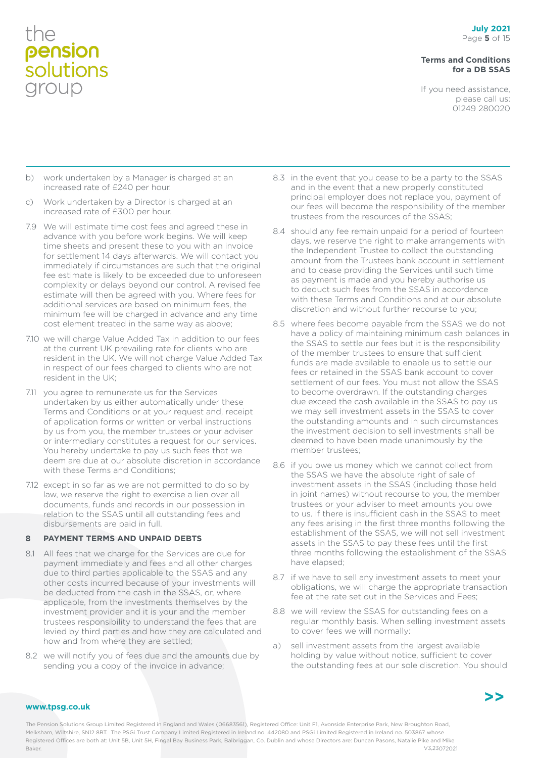#### **Terms and Conditions for a DB SSAS**

If you need assistance, please call us: 01249 280020

- b) work undertaken by a Manager is charged at an increased rate of £240 per hour.
- c) Work undertaken by a Director is charged at an increased rate of £300 per hour.
- 7.9 We will estimate time cost fees and agreed these in advance with you before work begins. We will keep time sheets and present these to you with an invoice for settlement 14 days afterwards. We will contact you immediately if circumstances are such that the original fee estimate is likely to be exceeded due to unforeseen complexity or delays beyond our control. A revised fee estimate will then be agreed with you. Where fees for additional services are based on minimum fees, the minimum fee will be charged in advance and any time cost element treated in the same way as above;
- 7.10 we will charge Value Added Tax in addition to our fees at the current UK prevailing rate for clients who are resident in the UK. We will not charge Value Added Tax in respect of our fees charged to clients who are not resident in the UK;
- 7.11 you agree to remunerate us for the Services undertaken by us either automatically under these Terms and Conditions or at your request and, receipt of application forms or written or verbal instructions by us from you, the member trustees or your adviser or intermediary constitutes a request for our services. You hereby undertake to pay us such fees that we deem are due at our absolute discretion in accordance with these Terms and Conditions;
- 7.12 except in so far as we are not permitted to do so by law, we reserve the right to exercise a lien over all documents, funds and records in our possession in relation to the SSAS until all outstanding fees and disbursements are paid in full.

#### **8 PAYMENT TERMS AND UNPAID DEBTS**

- 8.1 All fees that we charge for the Services are due for payment immediately and fees and all other charges due to third parties applicable to the SSAS and any other costs incurred because of your investments will be deducted from the cash in the SSAS, or, where applicable, from the investments themselves by the investment provider and it is your and the member trustees responsibility to understand the fees that are levied by third parties and how they are calculated and how and from where they are settled;
- 8.2 we will notify you of fees due and the amounts due by sending you a copy of the invoice in advance;
- 8.3 in the event that you cease to be a party to the SSAS and in the event that a new properly constituted principal employer does not replace you, payment of our fees will become the responsibility of the member trustees from the resources of the SSAS;
- 8.4 should any fee remain unpaid for a period of fourteen days, we reserve the right to make arrangements with the Independent Trustee to collect the outstanding amount from the Trustees bank account in settlement and to cease providing the Services until such time as payment is made and you hereby authorise us to deduct such fees from the SSAS in accordance with these Terms and Conditions and at our absolute discretion and without further recourse to you;
- 8.5 where fees become payable from the SSAS we do not have a policy of maintaining minimum cash balances in the SSAS to settle our fees but it is the responsibility of the member trustees to ensure that sufficient funds are made available to enable us to settle our fees or retained in the SSAS bank account to cover settlement of our fees. You must not allow the SSAS to become overdrawn. If the outstanding charges due exceed the cash available in the SSAS to pay us we may sell investment assets in the SSAS to cover the outstanding amounts and in such circumstances the investment decision to sell investments shall be deemed to have been made unanimously by the member trustees;
- 8.6 if you owe us money which we cannot collect from the SSAS we have the absolute right of sale of investment assets in the SSAS (including those held in joint names) without recourse to you, the member trustees or your adviser to meet amounts you owe to us. If there is insufficient cash in the SSAS to meet any fees arising in the first three months following the establishment of the SSAS, we will not sell investment assets in the SSAS to pay these fees until the first three months following the establishment of the SSAS have elapsed;
- 8.7 if we have to sell any investment assets to meet your obligations, we will charge the appropriate transaction fee at the rate set out in the Services and Fees;
- 8.8 we will review the SSAS for outstanding fees on a regular monthly basis. When selling investment assets to cover fees we will normally:
- a) sell investment assets from the largest available holding by value without notice, sufficient to cover the outstanding fees at our sole discretion. You should



#### **www.tpsg.co.uk**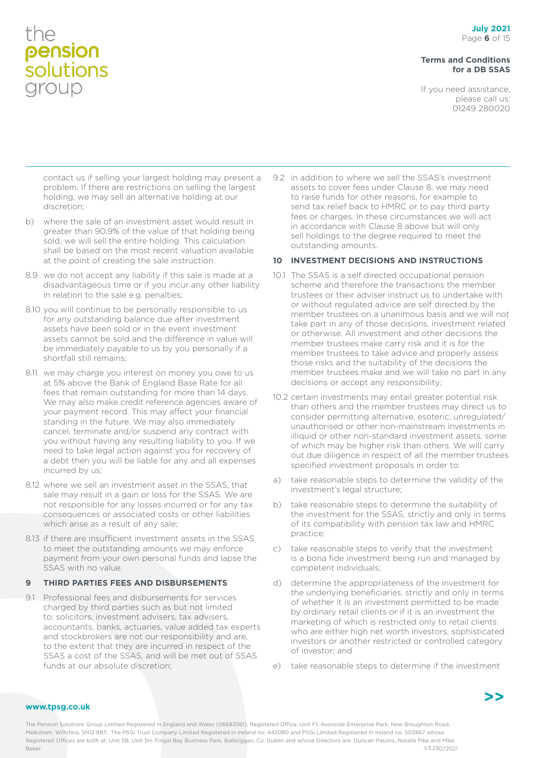#### **Terms and Conditions for a DB SSAS**

If you need assistance, please call us: 01249 280020

contact us if selling your largest holding may present a problem. If there are restrictions on selling the largest holding, we may sell an alternative holding at our discretion;

- b) where the sale of an investment asset would result in greater than 90.9% of the value of that holding being sold, we will sell the entire holding. This calculation shall be based on the most recent valuation available at the point of creating the sale instruction.
- 8.9 we do not accept any liability if this sale is made at a disadvantageous time or if you incur any other liability in relation to the sale e.g. penalties;
- 8.10 you will continue to be personally responsible to us for any outstanding balance due after investment assets have been sold or in the event investment assets cannot be sold and the difference in value will be immediately payable to us by you personally if a shortfall still remains;
- 8.11 we may charge you interest on money you owe to us at 5% above the Bank of England Base Rate for all fees that remain outstanding for more than 14 days. We may also make credit reference agencies aware of your payment record. This may affect your financial standing in the future. We may also immediately cancel, terminate and/or suspend any contract with you without having any resulting liability to you. If we need to take legal action against you for recovery of a debt then you will be liable for any and all expenses incurred by us;
- 8.12 where we sell an investment asset in the SSAS, that sale may result in a gain or loss for the SSAS. We are not responsible for any losses incurred or for any tax consequences or associated costs or other liabilities which arise as a result of any sale;
- 8.13 if there are insufficient investment assets in the SSAS to meet the outstanding amounts we may enforce payment from your own personal funds and lapse the SSAS with no value.

#### **9 THIRD PARTIES FEES AND DISBURSEMENTS**

9.1 Professional fees and disbursements for services charged by third parties such as but not limited to: solicitors, investment advisers, tax advisers, accountants, banks, actuaries, value added tax experts and stockbrokers are not our responsibility and are, to the extent that they are incurred in respect of the SSAS a cost of the SSAS, and will be met out of SSAS funds at our absolute discretion;

9.2 in addition to where we sell the SSAS's investment assets to cover fees under Clause 8, we may need to raise funds for other reasons, for example to send tax relief back to HMRC or to pay third party fees or charges. In these circumstances we will act in accordance with Clause 8 above but will only sell holdings to the degree required to meet the outstanding amounts.

#### **10 INVESTMENT DECISIONS AND INSTRUCTIONS**

- 10.1 The SSAS is a self directed occupational pension scheme and therefore the transactions the member trustees or their adviser instruct us to undertake with or without regulated advice are self directed by the member trustees on a unanimous basis and we will not take part in any of those decisions, investment related or otherwise. All investment and other decisions the member trustees make carry risk and it is for the member trustees to take advice and properly assess those risks and the suitability of the decisions the member trustees make and we will take no part in any decisions or accept any responsibility;
- 10.2 certain investments may entail greater potential risk than others and the member trustees may direct us to consider permitting alternative, esoteric, unregulated/ unauthorised or other non-mainstream investments in illiquid or other non-standard investment assets, some of which may be higher risk than others. We will carry out due diligence in respect of all the member trustees specified investment proposals in order to:
- a) take reasonable steps to determine the validity of the investment's legal structure;
- b) take reasonable steps to determine the suitability of the investment for the SSAS, strictly and only in terms of its compatibility with pension tax law and HMRC practice;
- c) take reasonable steps to verify that the investment is a bona fide investment being run and managed by competent individuals;
- d) determine the appropriateness of the investment for the underlying beneficiaries, strictly and only in terms of whether it is an investment permitted to be made by ordinary retail clients or if it is an investment the marketing of which is restricted only to retail clients who are either high net worth investors, sophisticated investors or another restricted or controlled category of investor; and
- e) take reasonable steps to determine if the investment

#### **www.tpsg.co.uk**

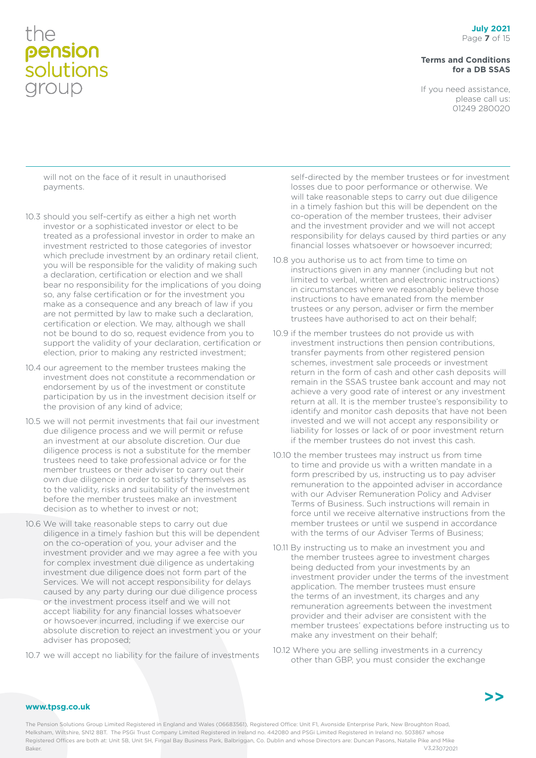#### **Terms and Conditions for a DB SSAS**

If you need assistance, please call us: 01249 280020

will not on the face of it result in unauthorised payments.

- 10.3 should you self-certify as either a high net worth investor or a sophisticated investor or elect to be treated as a professional investor in order to make an investment restricted to those categories of investor which preclude investment by an ordinary retail client, you will be responsible for the validity of making such a declaration, certification or election and we shall bear no responsibility for the implications of you doing so, any false certification or for the investment you make as a consequence and any breach of law if you are not permitted by law to make such a declaration, certification or election. We may, although we shall not be bound to do so, request evidence from you to support the validity of your declaration, certification or election, prior to making any restricted investment;
- 10.4 our agreement to the member trustees making the investment does not constitute a recommendation or endorsement by us of the investment or constitute participation by us in the investment decision itself or the provision of any kind of advice;
- 10.5 we will not permit investments that fail our investment due diligence process and we will permit or refuse an investment at our absolute discretion. Our due diligence process is not a substitute for the member trustees need to take professional advice or for the member trustees or their adviser to carry out their own due diligence in order to satisfy themselves as to the validity, risks and suitability of the investment before the member trustees make an investment decision as to whether to invest or not;
- 10.6 We will take reasonable steps to carry out due diligence in a timely fashion but this will be dependent on the co-operation of you, your adviser and the investment provider and we may agree a fee with you for complex investment due diligence as undertaking investment due diligence does not form part of the Services. We will not accept responsibility for delays caused by any party during our due diligence process or the investment process itself and we will not accept liability for any financial losses whatsoever or howsoever incurred, including if we exercise our absolute discretion to reject an investment you or your adviser has proposed;
- 10.7 we will accept no liability for the failure of investments

self-directed by the member trustees or for investment losses due to poor performance or otherwise. We will take reasonable steps to carry out due diligence in a timely fashion but this will be dependent on the co-operation of the member trustees, their adviser and the investment provider and we will not accept responsibility for delays caused by third parties or any financial losses whatsoever or howsoever incurred;

- 10.8 you authorise us to act from time to time on instructions given in any manner (including but not limited to verbal, written and electronic instructions) in circumstances where we reasonably believe those instructions to have emanated from the member trustees or any person, adviser or firm the member trustees have authorised to act on their behalf;
- 10.9 if the member trustees do not provide us with investment instructions then pension contributions, transfer payments from other registered pension schemes, investment sale proceeds or investment return in the form of cash and other cash deposits will remain in the SSAS trustee bank account and may not achieve a very good rate of interest or any investment return at all. It is the member trustee's responsibility to identify and monitor cash deposits that have not been invested and we will not accept any responsibility or liability for losses or lack of or poor investment return if the member trustees do not invest this cash.
- 10.10 the member trustees may instruct us from time to time and provide us with a written mandate in a form prescribed by us, instructing us to pay adviser remuneration to the appointed adviser in accordance with our Adviser Remuneration Policy and Adviser Terms of Business. Such instructions will remain in force until we receive alternative instructions from the member trustees or until we suspend in accordance with the terms of our Adviser Terms of Business;
- 10.11 By instructing us to make an investment you and the member trustees agree to investment charges being deducted from your investments by an investment provider under the terms of the investment application. The member trustees must ensure the terms of an investment, its charges and any remuneration agreements between the investment provider and their adviser are consistent with the member trustees' expectations before instructing us to make any investment on their behalf;
- 10.12 Where you are selling investments in a currency other than GBP, you must consider the exchange

**www.tpsg.co.uk**

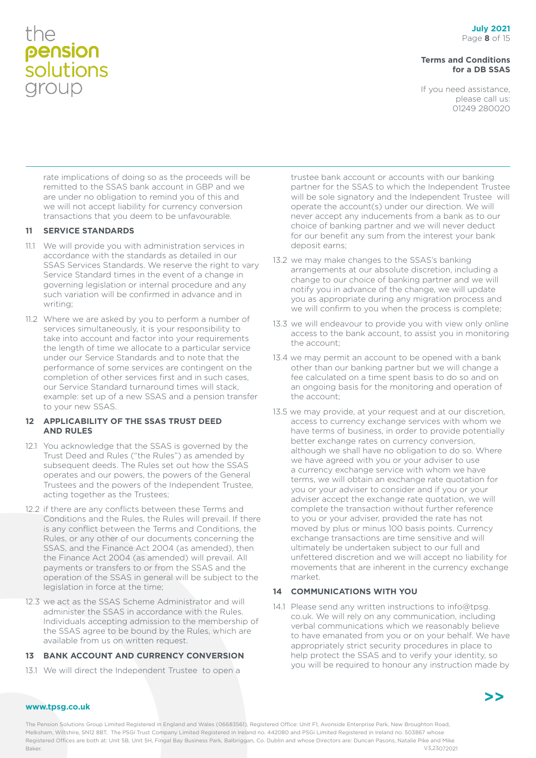#### **Terms and Conditions for a DB SSAS**

If you need assistance, please call us: 01249 280020

rate implications of doing so as the proceeds will be remitted to the SSAS bank account in GBP and we are under no obligation to remind you of this and we will not accept liability for currency conversion transactions that you deem to be unfavourable.

#### **11 SERVICE STANDARDS**

- 11.1 We will provide you with administration services in accordance with the standards as detailed in our SSAS Services Standards. We reserve the right to vary Service Standard times in the event of a change in governing legislation or internal procedure and any such variation will be confirmed in advance and in writing;
- 11.2 Where we are asked by you to perform a number of services simultaneously, it is your responsibility to take into account and factor into your requirements the length of time we allocate to a particular service under our Service Standards and to note that the performance of some services are contingent on the completion of other services first and in such cases, our Service Standard turnaround times will stack, example: set up of a new SSAS and a pension transfer to your new SSAS.

#### **12 APPLICABILITY OF THE SSAS TRUST DEED AND RULES**

- 12.1 You acknowledge that the SSAS is governed by the Trust Deed and Rules ("the Rules") as amended by subsequent deeds. The Rules set out how the SSAS operates and our powers, the powers of the General Trustees and the powers of the Independent Trustee, acting together as the Trustees;
- 12.2 if there are any conflicts between these Terms and Conditions and the Rules, the Rules will prevail. If there is any conflict between the Terms and Conditions, the Rules, or any other of our documents concerning the SSAS, and the Finance Act 2004 (as amended), then the Finance Act 2004 (as amended) will prevail. All payments or transfers to or from the SSAS and the operation of the SSAS in general will be subject to the legislation in force at the time;
- 12.3 we act as the SSAS Scheme Administrator and will administer the SSAS in accordance with the Rules. Individuals accepting admission to the membership of the SSAS agree to be bound by the Rules, which are available from us on written request.

#### **13 BANK ACCOUNT AND CURRENCY CONVERSION**

13.1 We will direct the Independent Trustee to open a

trustee bank account or accounts with our banking partner for the SSAS to which the Independent Trustee will be sole signatory and the Independent Trustee will operate the account(s) under our direction. We will never accept any inducements from a bank as to our choice of banking partner and we will never deduct for our benefit any sum from the interest your bank deposit earns;

- 13.2 we may make changes to the SSAS's banking arrangements at our absolute discretion, including a change to our choice of banking partner and we will notify you in advance of the change, we will update you as appropriate during any migration process and we will confirm to you when the process is complete;
- 13.3 we will endeavour to provide you with view only online access to the bank account, to assist you in monitoring the account;
- 13.4 we may permit an account to be opened with a bank other than our banking partner but we will change a fee calculated on a time spent basis to do so and on an ongoing basis for the monitoring and operation of the account;
- 13.5 we may provide, at your request and at our discretion, access to currency exchange services with whom we have terms of business, in order to provide potentially better exchange rates on currency conversion, although we shall have no obligation to do so. Where we have agreed with you or your adviser to use a currency exchange service with whom we have terms, we will obtain an exchange rate quotation for you or your adviser to consider and if you or your adviser accept the exchange rate quotation, we will complete the transaction without further reference to you or your adviser, provided the rate has not moved by plus or minus 100 basis points. Currency exchange transactions are time sensitive and will ultimately be undertaken subject to our full and unfettered discretion and we will accept no liability for movements that are inherent in the currency exchange market.

#### **14 COMMUNICATIONS WITH YOU**

14.1 Please send any written instructions to info@tpsg. co.uk. We will rely on any communication, including verbal communications which we reasonably believe to have emanated from you or on your behalf. We have appropriately strict security procedures in place to help protect the SSAS and to verify your identity, so you will be required to honour any instruction made by



#### **www.tpsg.co.uk**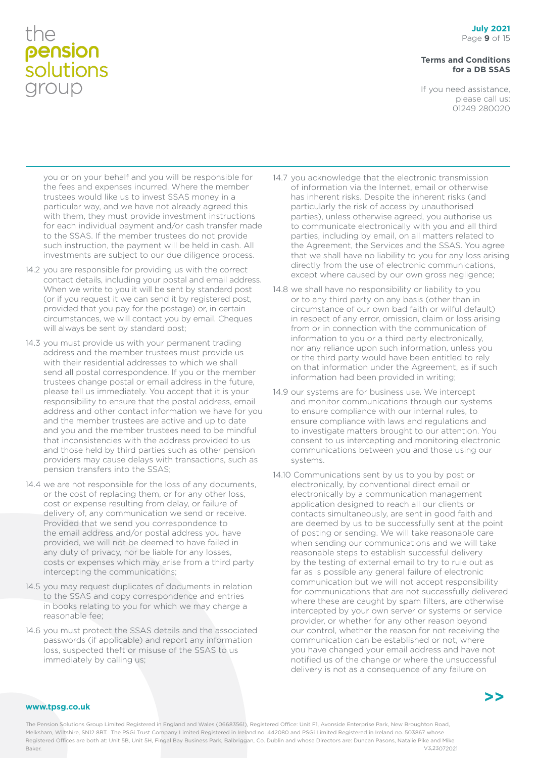#### **Terms and Conditions for a DB SSAS**

If you need assistance, please call us: 01249 280020

you or on your behalf and you will be responsible for the fees and expenses incurred. Where the member trustees would like us to invest SSAS money in a particular way, and we have not already agreed this with them, they must provide investment instructions for each individual payment and/or cash transfer made to the SSAS. If the member trustees do not provide such instruction, the payment will be held in cash. All investments are subject to our due diligence process.

- 14.2 you are responsible for providing us with the correct contact details, including your postal and email address. When we write to you it will be sent by standard post (or if you request it we can send it by registered post, provided that you pay for the postage) or, in certain circumstances, we will contact you by email. Cheques will always be sent by standard post;
- 14.3 you must provide us with your permanent trading address and the member trustees must provide us with their residential addresses to which we shall send all postal correspondence. If you or the member trustees change postal or email address in the future, please tell us immediately. You accept that it is your responsibility to ensure that the postal address, email address and other contact information we have for you and the member trustees are active and up to date and you and the member trustees need to be mindful that inconsistencies with the address provided to us and those held by third parties such as other pension providers may cause delays with transactions, such as pension transfers into the SSAS;
- 14.4 we are not responsible for the loss of any documents, or the cost of replacing them, or for any other loss, cost or expense resulting from delay, or failure of delivery of, any communication we send or receive. Provided that we send you correspondence to the email address and/or postal address you have provided, we will not be deemed to have failed in any duty of privacy, nor be liable for any losses, costs or expenses which may arise from a third party intercepting the communications;
- 14.5 you may request duplicates of documents in relation to the SSAS and copy correspondence and entries in books relating to you for which we may charge a reasonable fee;
- 14.6 you must protect the SSAS details and the associated passwords (if applicable) and report any information loss, suspected theft or misuse of the SSAS to us immediately by calling us;
- 14.7 you acknowledge that the electronic transmission of information via the Internet, email or otherwise has inherent risks. Despite the inherent risks (and particularly the risk of access by unauthorised parties), unless otherwise agreed, you authorise us to communicate electronically with you and all third parties, including by email, on all matters related to the Agreement, the Services and the SSAS. You agree that we shall have no liability to you for any loss arising directly from the use of electronic communications, except where caused by our own gross negligence;
- 14.8 we shall have no responsibility or liability to you or to any third party on any basis (other than in circumstance of our own bad faith or wilful default) in respect of any error, omission, claim or loss arising from or in connection with the communication of information to you or a third party electronically, nor any reliance upon such information, unless you or the third party would have been entitled to rely on that information under the Agreement, as if such information had been provided in writing;
- 14.9 our systems are for business use. We intercept and monitor communications through our systems to ensure compliance with our internal rules, to ensure compliance with laws and regulations and to investigate matters brought to our attention. You consent to us intercepting and monitoring electronic communications between you and those using our systems.
- 14.10 Communications sent by us to you by post or electronically, by conventional direct email or electronically by a communication management application designed to reach all our clients or contacts simultaneously, are sent in good faith and are deemed by us to be successfully sent at the point of posting or sending. We will take reasonable care when sending our communications and we will take reasonable steps to establish successful delivery by the testing of external email to try to rule out as far as is possible any general failure of electronic communication but we will not accept responsibility for communications that are not successfully delivered where these are caught by spam filters, are otherwise intercepted by your own server or systems or service provider, or whether for any other reason beyond our control, whether the reason for not receiving the communication can be established or not, where you have changed your email address and have not notified us of the change or where the unsuccessful delivery is not as a consequence of any failure on

#### **www.tpsg.co.uk**

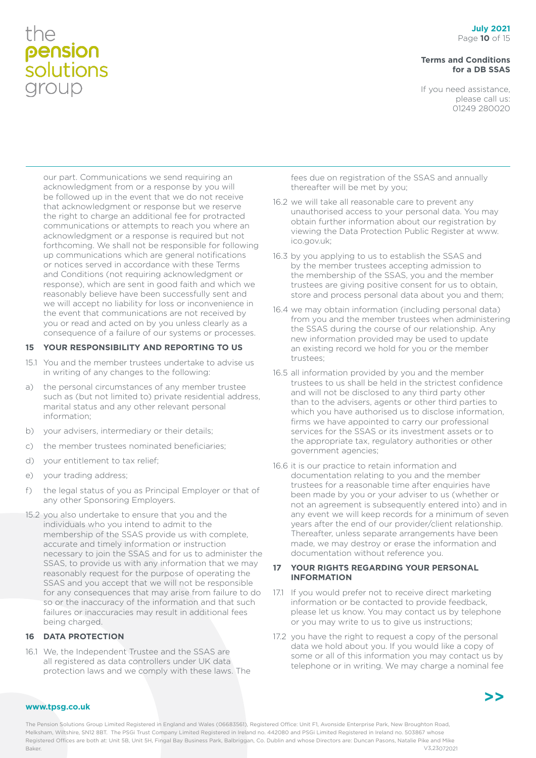#### **Terms and Conditions for a DB SSAS**

If you need assistance, please call us: 01249 280020

our part. Communications we send requiring an acknowledgment from or a response by you will be followed up in the event that we do not receive that acknowledgment or response but we reserve the right to charge an additional fee for protracted communications or attempts to reach you where an acknowledgment or a response is required but not forthcoming. We shall not be responsible for following up communications which are general notifications or notices served in accordance with these Terms and Conditions (not requiring acknowledgment or response), which are sent in good faith and which we reasonably believe have been successfully sent and we will accept no liability for loss or inconvenience in the event that communications are not received by you or read and acted on by you unless clearly as a consequence of a failure of our systems or processes.

#### **15 YOUR RESPONSIBILITY AND REPORTING TO US**

- 15.1 You and the member trustees undertake to advise us in writing of any changes to the following:
- a) the personal circumstances of any member trustee such as (but not limited to) private residential address, marital status and any other relevant personal information;
- b) your advisers, intermediary or their details;
- c) the member trustees nominated beneficiaries;
- d) your entitlement to tax relief;
- e) your trading address;
- f) the legal status of you as Principal Employer or that of any other Sponsoring Employers.
- 15.2 you also undertake to ensure that you and the individuals who you intend to admit to the membership of the SSAS provide us with complete, accurate and timely information or instruction necessary to join the SSAS and for us to administer the SSAS, to provide us with any information that we may reasonably request for the purpose of operating the SSAS and you accept that we will not be responsible for any consequences that may arise from failure to do so or the inaccuracy of the information and that such failures or inaccuracies may result in additional fees being charged.

#### **16 DATA PROTECTION**

16.1 We, the Independent Trustee and the SSAS are all registered as data controllers under UK data protection laws and we comply with these laws. The fees due on registration of the SSAS and annually thereafter will be met by you;

- 16.2 we will take all reasonable care to prevent any unauthorised access to your personal data. You may obtain further information about our registration by viewing the Data Protection Public Register at www. ico.gov.uk;
- 16.3 by you applying to us to establish the SSAS and by the member trustees accepting admission to the membership of the SSAS, you and the member trustees are giving positive consent for us to obtain, store and process personal data about you and them;
- 16.4 we may obtain information (including personal data) from you and the member trustees when administering the SSAS during the course of our relationship. Any new information provided may be used to update an existing record we hold for you or the member trustees;
- 16.5 all information provided by you and the member trustees to us shall be held in the strictest confidence and will not be disclosed to any third party other than to the advisers, agents or other third parties to which you have authorised us to disclose information, firms we have appointed to carry our professional services for the SSAS or its investment assets or to the appropriate tax, regulatory authorities or other government agencies;
- 16.6 it is our practice to retain information and documentation relating to you and the member trustees for a reasonable time after enquiries have been made by you or your adviser to us (whether or not an agreement is subsequently entered into) and in any event we will keep records for a minimum of seven years after the end of our provider/client relationship. Thereafter, unless separate arrangements have been made, we may destroy or erase the information and documentation without reference you.

#### **17 YOUR RIGHTS REGARDING YOUR PERSONAL INFORMATION**

- 17.1 If you would prefer not to receive direct marketing information or be contacted to provide feedback, please let us know. You may contact us by telephone or you may write to us to give us instructions;
- 17.2 you have the right to request a copy of the personal data we hold about you. If you would like a copy of some or all of this information you may contact us by telephone or in writing. We may charge a nominal fee



#### **www.tpsg.co.uk**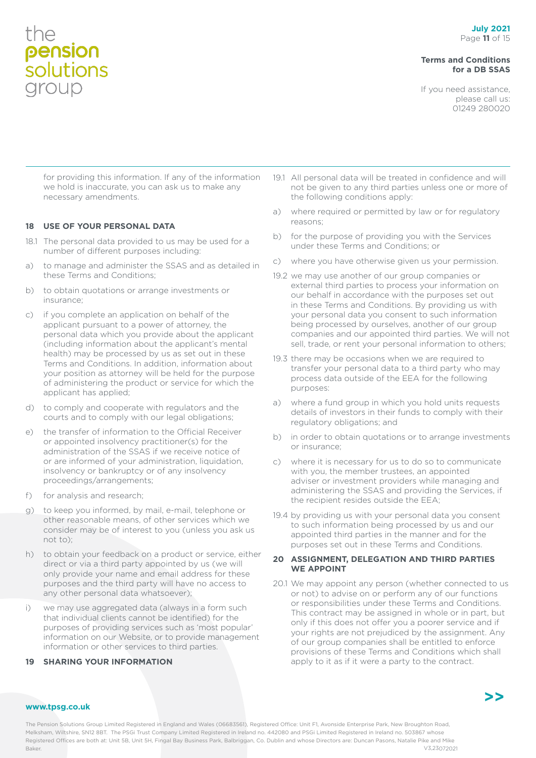#### **Terms and Conditions for a DB SSAS**

If you need assistance, please call us: 01249 280020

for providing this information. If any of the information we hold is inaccurate, you can ask us to make any necessary amendments.

#### **18 USE OF YOUR PERSONAL DATA**

- 18.1 The personal data provided to us may be used for a number of different purposes including:
- a) to manage and administer the SSAS and as detailed in these Terms and Conditions;
- b) to obtain quotations or arrange investments or insurance;
- c) if you complete an application on behalf of the applicant pursuant to a power of attorney, the personal data which you provide about the applicant (including information about the applicant's mental health) may be processed by us as set out in these Terms and Conditions. In addition, information about your position as attorney will be held for the purpose of administering the product or service for which the applicant has applied;
- d) to comply and cooperate with regulators and the courts and to comply with our legal obligations;
- e) the transfer of information to the Official Receiver or appointed insolvency practitioner(s) for the administration of the SSAS if we receive notice of or are informed of your administration, liquidation, insolvency or bankruptcy or of any insolvency proceedings/arrangements;
- f) for analysis and research;
- g) to keep you informed, by mail, e-mail, telephone or other reasonable means, of other services which we consider may be of interest to you (unless you ask us not to);
- h) to obtain your feedback on a product or service, either direct or via a third party appointed by us (we will only provide your name and email address for these purposes and the third party will have no access to any other personal data whatsoever);
- i) we may use aggregated data (always in a form such that individual clients cannot be identified) for the purposes of providing services such as 'most popular' information on our Website, or to provide management information or other services to third parties.

#### **19 SHARING YOUR INFORMATION**

- 19.1 All personal data will be treated in confidence and will not be given to any third parties unless one or more of the following conditions apply:
- a) where required or permitted by law or for regulatory reasons;
- b) for the purpose of providing you with the Services under these Terms and Conditions; or
- c) where you have otherwise given us your permission.
- 19.2 we may use another of our group companies or external third parties to process your information on our behalf in accordance with the purposes set out in these Terms and Conditions. By providing us with your personal data you consent to such information being processed by ourselves, another of our group companies and our appointed third parties. We will not sell, trade, or rent your personal information to others;
- 19.3 there may be occasions when we are required to transfer your personal data to a third party who may process data outside of the EEA for the following purposes:
- a) where a fund group in which you hold units requests details of investors in their funds to comply with their regulatory obligations; and
- b) in order to obtain quotations or to arrange investments or insurance;
- c) where it is necessary for us to do so to communicate with you, the member trustees, an appointed adviser or investment providers while managing and administering the SSAS and providing the Services, if the recipient resides outside the EEA;
- 19.4 by providing us with your personal data you consent to such information being processed by us and our appointed third parties in the manner and for the purposes set out in these Terms and Conditions.

#### **20 ASSIGNMENT, DELEGATION AND THIRD PARTIES WE APPOINT**

20.1 We may appoint any person (whether connected to us or not) to advise on or perform any of our functions or responsibilities under these Terms and Conditions. This contract may be assigned in whole or in part, but only if this does not offer you a poorer service and if your rights are not prejudiced by the assignment. Any of our group companies shall be entitled to enforce provisions of these Terms and Conditions which shall apply to it as if it were a party to the contract.



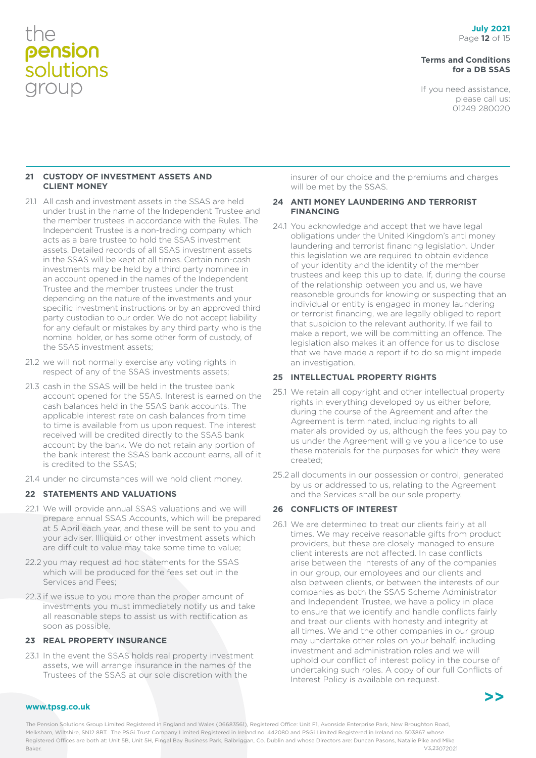#### **Terms and Conditions for a DB SSAS**

If you need assistance, please call us: 01249 280020

#### **21 CUSTODY OF INVESTMENT ASSETS AND CLIENT MONEY**

- 21.1 All cash and investment assets in the SSAS are held under trust in the name of the Independent Trustee and the member trustees in accordance with the Rules. The Independent Trustee is a non-trading company which acts as a bare trustee to hold the SSAS investment assets. Detailed records of all SSAS investment assets in the SSAS will be kept at all times. Certain non-cash investments may be held by a third party nominee in an account opened in the names of the Independent Trustee and the member trustees under the trust depending on the nature of the investments and your specific investment instructions or by an approved third party custodian to our order. We do not accept liability for any default or mistakes by any third party who is the nominal holder, or has some other form of custody, of the SSAS investment assets;
- 21.2 we will not normally exercise any voting rights in respect of any of the SSAS investments assets;
- 21.3 cash in the SSAS will be held in the trustee bank account opened for the SSAS. Interest is earned on the cash balances held in the SSAS bank accounts. The applicable interest rate on cash balances from time to time is available from us upon request. The interest received will be credited directly to the SSAS bank account by the bank. We do not retain any portion of the bank interest the SSAS bank account earns, all of it is credited to the SSAS;
- 21.4 under no circumstances will we hold client money.

#### **22 STATEMENTS AND VALUATIONS**

- 22.1 We will provide annual SSAS valuations and we will prepare annual SSAS Accounts, which will be prepared at 5 April each year, and these will be sent to you and your adviser. Illiquid or other investment assets which are difficult to value may take some time to value;
- 22.2 you may request ad hoc statements for the SSAS which will be produced for the fees set out in the Services and Fees;
- 22.3 if we issue to you more than the proper amount of investments you must immediately notify us and take all reasonable steps to assist us with rectification as soon as possible.

#### **23 REAL PROPERTY INSURANCE**

23.1 In the event the SSAS holds real property investment assets, we will arrange insurance in the names of the Trustees of the SSAS at our sole discretion with the

insurer of our choice and the premiums and charges will be met by the SSAS.

#### **24 ANTI MONEY LAUNDERING AND TERRORIST FINANCING**

24.1 You acknowledge and accept that we have legal obligations under the United Kingdom's anti money laundering and terrorist financing legislation. Under this legislation we are required to obtain evidence of your identity and the identity of the member trustees and keep this up to date. If, during the course of the relationship between you and us, we have reasonable grounds for knowing or suspecting that an individual or entity is engaged in money laundering or terrorist financing, we are legally obliged to report that suspicion to the relevant authority. If we fail to make a report, we will be committing an offence. The legislation also makes it an offence for us to disclose that we have made a report if to do so might impede an investigation.

#### **25 INTELLECTUAL PROPERTY RIGHTS**

- 25.1 We retain all copyright and other intellectual property rights in everything developed by us either before, during the course of the Agreement and after the Agreement is terminated, including rights to all materials provided by us, although the fees you pay to us under the Agreement will give you a licence to use these materials for the purposes for which they were created;
- 25.2 all documents in our possession or control, generated by us or addressed to us, relating to the Agreement and the Services shall be our sole property.

#### **26 CONFLICTS OF INTEREST**

26.1 We are determined to treat our clients fairly at all times. We may receive reasonable gifts from product providers, but these are closely managed to ensure client interests are not affected. In case conflicts arise between the interests of any of the companies in our group, our employees and our clients and also between clients, or between the interests of our companies as both the SSAS Scheme Administrator and Independent Trustee, we have a policy in place to ensure that we identify and handle conflicts fairly and treat our clients with honesty and integrity at all times. We and the other companies in our group may undertake other roles on your behalf, including investment and administration roles and we will uphold our conflict of interest policy in the course of undertaking such roles. A copy of our full Conflicts of Interest Policy is available on request.



#### **www.tpsg.co.uk**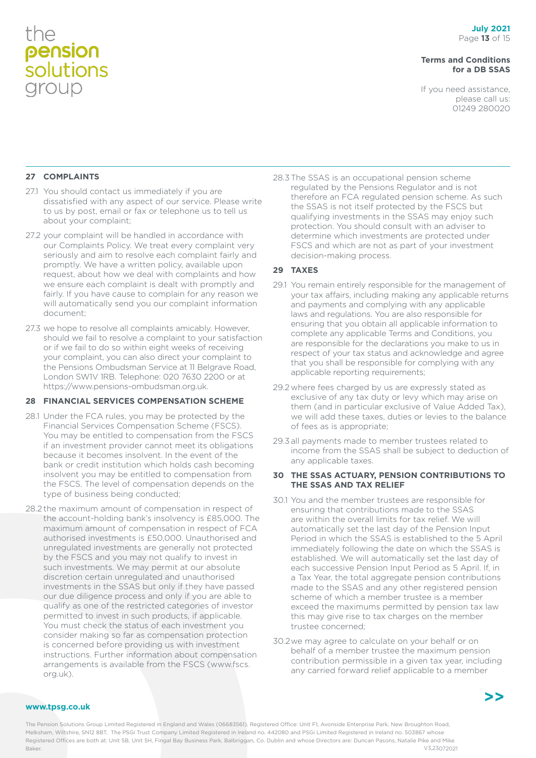#### **Terms and Conditions for a DB SSAS**

If you need assistance, please call us: 01249 280020

#### **27 COMPLAINTS**

- 27.1 You should contact us immediately if you are dissatisfied with any aspect of our service. Please write to us by post, email or fax or telephone us to tell us about your complaint;
- 27.2 your complaint will be handled in accordance with our Complaints Policy. We treat every complaint very seriously and aim to resolve each complaint fairly and promptly. We have a written policy, available upon request, about how we deal with complaints and how we ensure each complaint is dealt with promptly and fairly. If you have cause to complain for any reason we will automatically send you our complaint information document;
- 27.3 we hope to resolve all complaints amicably. However, should we fail to resolve a complaint to your satisfaction or if we fail to do so within eight weeks of receiving your complaint, you can also direct your complaint to the Pensions Ombudsman Service at 11 Belgrave Road, London SW1V 1RB. Telephone: 020 7630 2200 or at https://www.pensions-ombudsman.org.uk.

#### **28 FINANCIAL SERVICES COMPENSATION SCHEME**

- 28.1 Under the FCA rules, you may be protected by the Financial Services Compensation Scheme (FSCS). You may be entitled to compensation from the FSCS if an investment provider cannot meet its obligations because it becomes insolvent. In the event of the bank or credit institution which holds cash becoming insolvent you may be entitled to compensation from the FSCS. The level of compensation depends on the type of business being conducted;
- 28.2 the maximum amount of compensation in respect of the account-holding bank's insolvency is £85,000. The maximum amount of compensation in respect of FCA authorised investments is £50,000. Unauthorised and unregulated investments are generally not protected by the FSCS and you may not qualify to invest in such investments. We may permit at our absolute discretion certain unregulated and unauthorised investments in the SSAS but only if they have passed our due diligence process and only if you are able to qualify as one of the restricted categories of investor permitted to invest in such products, if applicable. You must check the status of each investment you consider making so far as compensation protection is concerned before providing us with investment instructions. Further information about compensation arrangements is available from the FSCS (www.fscs. org.uk).

28.3The SSAS is an occupational pension scheme regulated by the Pensions Regulator and is not therefore an FCA regulated pension scheme. As such the SSAS is not itself protected by the FSCS but qualifying investments in the SSAS may enjoy such protection. You should consult with an adviser to determine which investments are protected under FSCS and which are not as part of your investment decision-making process.

#### **29 TAXES**

- 29.1 You remain entirely responsible for the management of your tax affairs, including making any applicable returns and payments and complying with any applicable laws and regulations. You are also responsible for ensuring that you obtain all applicable information to complete any applicable Terms and Conditions, you are responsible for the declarations you make to us in respect of your tax status and acknowledge and agree that you shall be responsible for complying with any applicable reporting requirements;
- 29.2 where fees charged by us are expressly stated as exclusive of any tax duty or levy which may arise on them (and in particular exclusive of Value Added Tax), we will add these taxes, duties or levies to the balance of fees as is appropriate;
- 29.3all payments made to member trustees related to income from the SSAS shall be subject to deduction of any applicable taxes.

#### **30 THE SSAS ACTUARY, PENSION CONTRIBUTIONS TO THE SSAS AND TAX RELIEF**

- 30.1 You and the member trustees are responsible for ensuring that contributions made to the SSAS are within the overall limits for tax relief. We will automatically set the last day of the Pension Input Period in which the SSAS is established to the 5 April immediately following the date on which the SSAS is established. We will automatically set the last day of each successive Pension Input Period as 5 April. If, in a Tax Year, the total aggregate pension contributions made to the SSAS and any other registered pension scheme of which a member trustee is a member exceed the maximums permitted by pension tax law this may give rise to tax charges on the member trustee concerned;
- 30.2we may agree to calculate on your behalf or on behalf of a member trustee the maximum pension contribution permissible in a given tax year, including any carried forward relief applicable to a member



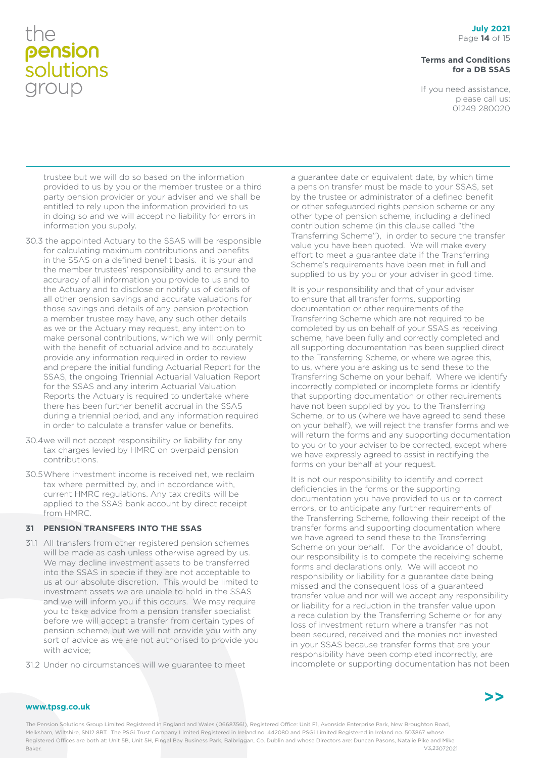#### **Terms and Conditions for a DB SSAS**

If you need assistance, please call us: 01249 280020

trustee but we will do so based on the information provided to us by you or the member trustee or a third party pension provider or your adviser and we shall be entitled to rely upon the information provided to us in doing so and we will accept no liability for errors in information you supply.

- 30.3 the appointed Actuary to the SSAS will be responsible for calculating maximum contributions and benefits in the SSAS on a defined benefit basis. it is your and the member trustees' responsibility and to ensure the accuracy of all information you provide to us and to the Actuary and to disclose or notify us of details of all other pension savings and accurate valuations for those savings and details of any pension protection a member trustee may have, any such other details as we or the Actuary may request, any intention to make personal contributions, which we will only permit with the benefit of actuarial advice and to accurately provide any information required in order to review and prepare the initial funding Actuarial Report for the SSAS, the ongoing Triennial Actuarial Valuation Report for the SSAS and any interim Actuarial Valuation Reports the Actuary is required to undertake where there has been further benefit accrual in the SSAS during a triennial period, and any information required in order to calculate a transfer value or benefits.
- 30.4we will not accept responsibility or liability for any tax charges levied by HMRC on overpaid pension contributions.
- 30.5Where investment income is received net, we reclaim tax where permitted by, and in accordance with, current HMRC regulations. Any tax credits will be applied to the SSAS bank account by direct receipt from HMRC.

#### **31 PENSION TRANSFERS INTO THE SSAS**

- 31.1 All transfers from other registered pension schemes will be made as cash unless otherwise agreed by us. We may decline investment assets to be transferred into the SSAS in specie if they are not acceptable to us at our absolute discretion. This would be limited to investment assets we are unable to hold in the SSAS and we will inform you if this occurs. We may require you to take advice from a pension transfer specialist before we will accept a transfer from certain types of pension scheme, but we will not provide you with any sort of advice as we are not authorised to provide you with advice:
- 31.2 Under no circumstances will we guarantee to meet

a guarantee date or equivalent date, by which time a pension transfer must be made to your SSAS, set by the trustee or administrator of a defined benefit or other safeguarded rights pension scheme or any other type of pension scheme, including a defined contribution scheme (in this clause called "the Transferring Scheme"), in order to secure the transfer value you have been quoted. We will make every effort to meet a guarantee date if the Transferring Scheme's requirements have been met in full and supplied to us by you or your adviser in good time.

It is your responsibility and that of your adviser to ensure that all transfer forms, supporting documentation or other requirements of the Transferring Scheme which are not required to be completed by us on behalf of your SSAS as receiving scheme, have been fully and correctly completed and all supporting documentation has been supplied direct to the Transferring Scheme, or where we agree this, to us, where you are asking us to send these to the Transferring Scheme on your behalf. Where we identify incorrectly completed or incomplete forms or identify that supporting documentation or other requirements have not been supplied by you to the Transferring Scheme, or to us (where we have agreed to send these on your behalf), we will reject the transfer forms and we will return the forms and any supporting documentation to you or to your adviser to be corrected, except where we have expressly agreed to assist in rectifying the forms on your behalf at your request.

It is not our responsibility to identify and correct deficiencies in the forms or the supporting documentation you have provided to us or to correct errors, or to anticipate any further requirements of the Transferring Scheme, following their receipt of the transfer forms and supporting documentation where we have agreed to send these to the Transferring Scheme on your behalf. For the avoidance of doubt, our responsibility is to compete the receiving scheme forms and declarations only. We will accept no responsibility or liability for a guarantee date being missed and the consequent loss of a guaranteed transfer value and nor will we accept any responsibility or liability for a reduction in the transfer value upon a recalculation by the Transferring Scheme or for any loss of investment return where a transfer has not been secured, received and the monies not invested in your SSAS because transfer forms that are your responsibility have been completed incorrectly, are incomplete or supporting documentation has not been

#### **www.tpsg.co.uk**

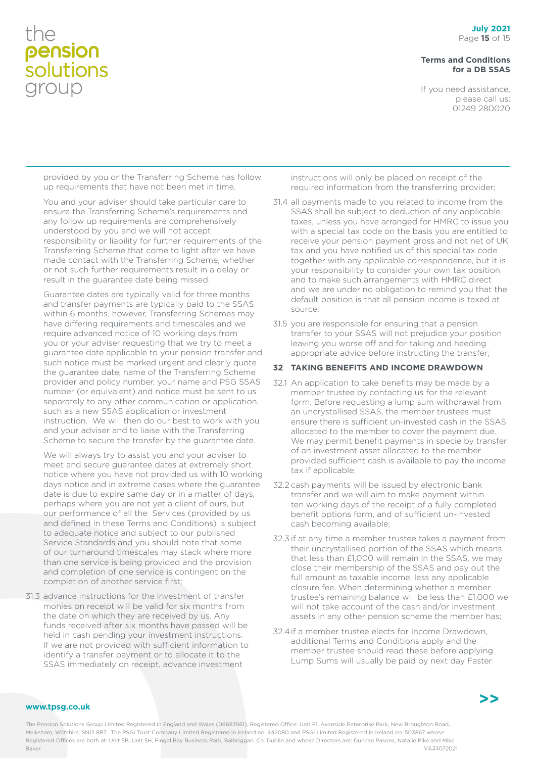#### **Terms and Conditions for a DB SSAS**

If you need assistance, please call us: 01249 280020

provided by you or the Transferring Scheme has follow up requirements that have not been met in time.

You and your adviser should take particular care to ensure the Transferring Scheme's requirements and any follow up requirements are comprehensively understood by you and we will not accept responsibility or liability for further requirements of the Transferring Scheme that come to light after we have made contact with the Transferring Scheme, whether or not such further requirements result in a delay or result in the guarantee date being missed.

Guarantee dates are typically valid for three months and transfer payments are typically paid to the SSAS within 6 months, however, Transferring Schemes may have differing requirements and timescales and we require advanced notice of 10 working days from you or your adviser requesting that we try to meet a guarantee date applicable to your pension transfer and such notice must be marked urgent and clearly quote the guarantee date, name of the Transferring Scheme provider and policy number, your name and PSG SSAS number (or equivalent) and notice must be sent to us separately to any other communication or application, such as a new SSAS application or investment instruction. We will then do our best to work with you and your adviser and to liaise with the Transferring Scheme to secure the transfer by the guarantee date.

We will always try to assist you and your adviser to meet and secure guarantee dates at extremely short notice where you have not provided us with 10 working days notice and in extreme cases where the guarantee date is due to expire same day or in a matter of days, perhaps where you are not yet a client of ours, but our performance of all the Services (provided by us and defined in these Terms and Conditions) is subject to adequate notice and subject to our published Service Standards and you should note that some of our turnaround timescales may stack where more than one service is being provided and the provision and completion of one service is contingent on the completion of another service first;

31.3 advance instructions for the investment of transfer monies on receipt will be valid for six months from the date on which they are received by us. Any funds received after six months have passed will be held in cash pending your investment instructions. If we are not provided with sufficient information to identify a transfer payment or to allocate it to the SSAS immediately on receipt, advance investment

instructions will only be placed on receipt of the required information from the transferring provider;

- 31.4 all payments made to you related to income from the SSAS shall be subject to deduction of any applicable taxes, unless you have arranged for HMRC to issue you with a special tax code on the basis you are entitled to receive your pension payment gross and not net of UK tax and you have notified us of this special tax code together with any applicable correspondence, but it is your responsibility to consider your own tax position and to make such arrangements with HMRC direct and we are under no obligation to remind you that the default position is that all pension income is taxed at source;
- 31.5 you are responsible for ensuring that a pension transfer to your SSAS will not prejudice your position leaving you worse off and for taking and heeding appropriate advice before instructing the transfer;

#### **32 TAKING BENEFITS AND INCOME DRAWDOWN**

- 32.1 An application to take benefits may be made by a member trustee by contacting us for the relevant form. Before requesting a lump sum withdrawal from an uncrystallised SSAS, the member trustees must ensure there is sufficient un-invested cash in the SSAS allocated to the member to cover the payment due. We may permit benefit payments in specie by transfer of an investment asset allocated to the member provided sufficient cash is available to pay the income tax if applicable;
- 32.2 cash payments will be issued by electronic bank transfer and we will aim to make payment within ten working days of the receipt of a fully completed benefit options form, and of sufficient un-invested cash becoming available;
- 32.3 if at any time a member trustee takes a payment from their uncrystallised portion of the SSAS which means that less than £1,000 will remain in the SSAS, we may close their membership of the SSAS and pay out the full amount as taxable income, less any applicable closure fee. When determining whether a member trustee's remaining balance will be less than £1,000 we will not take account of the cash and/or investment assets in any other pension scheme the member has;
- 32.4if a member trustee elects for Income Drawdown, additional Terms and Conditions apply and the member trustee should read these before applying. Lump Sums will usually be paid by next day Faster



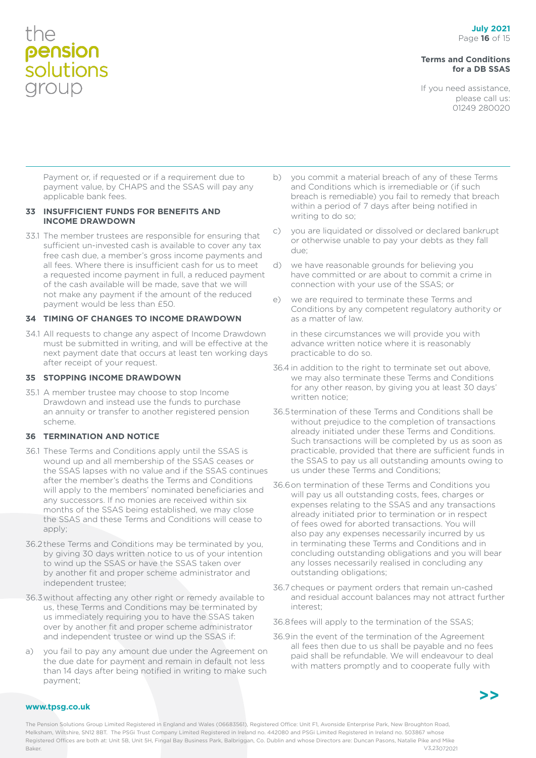#### **Terms and Conditions for a DB SSAS**

If you need assistance, please call us: 01249 280020

Payment or, if requested or if a requirement due to payment value, by CHAPS and the SSAS will pay any applicable bank fees.

#### **33 INSUFFICIENT FUNDS FOR BENEFITS AND INCOME DRAWDOWN**

33.1 The member trustees are responsible for ensuring that sufficient un-invested cash is available to cover any tax free cash due, a member's gross income payments and all fees. Where there is insufficient cash for us to meet a requested income payment in full, a reduced payment of the cash available will be made, save that we will not make any payment if the amount of the reduced payment would be less than £50.

#### **34 TIMING OF CHANGES TO INCOME DRAWDOWN**

34.1 All requests to change any aspect of Income Drawdown must be submitted in writing, and will be effective at the next payment date that occurs at least ten working days after receipt of your request.

#### **35 STOPPING INCOME DRAWDOWN**

35.1 A member trustee may choose to stop Income Drawdown and instead use the funds to purchase an annuity or transfer to another registered pension scheme.

#### **36 TERMINATION AND NOTICE**

- 36.1 These Terms and Conditions apply until the SSAS is wound up and all membership of the SSAS ceases or the SSAS lapses with no value and if the SSAS continues after the member's deaths the Terms and Conditions will apply to the members' nominated beneficiaries and any successors. If no monies are received within six months of the SSAS being established, we may close the SSAS and these Terms and Conditions will cease to apply;
- 36.2these Terms and Conditions may be terminated by you, by giving 30 days written notice to us of your intention to wind up the SSAS or have the SSAS taken over by another fit and proper scheme administrator and independent trustee;
- 36.3without affecting any other right or remedy available to us, these Terms and Conditions may be terminated by us immediately requiring you to have the SSAS taken over by another fit and proper scheme administrator and independent trustee or wind up the SSAS if:
- a) you fail to pay any amount due under the Agreement on the due date for payment and remain in default not less than 14 days after being notified in writing to make such payment;
- b) you commit a material breach of any of these Terms and Conditions which is irremediable or (if such breach is remediable) you fail to remedy that breach within a period of 7 days after being notified in writing to do so;
- c) you are liquidated or dissolved or declared bankrupt or otherwise unable to pay your debts as they fall due;
- d) we have reasonable grounds for believing you have committed or are about to commit a crime in connection with your use of the SSAS; or
- e) we are required to terminate these Terms and Conditions by any competent regulatory authority or as a matter of law.

in these circumstances we will provide you with advance written notice where it is reasonably practicable to do so.

- 36.4 in addition to the right to terminate set out above, we may also terminate these Terms and Conditions for any other reason, by giving you at least 30 days' written notice;
- 36.5termination of these Terms and Conditions shall be without prejudice to the completion of transactions already initiated under these Terms and Conditions. Such transactions will be completed by us as soon as practicable, provided that there are sufficient funds in the SSAS to pay us all outstanding amounts owing to us under these Terms and Conditions;
- 36.6on termination of these Terms and Conditions you will pay us all outstanding costs, fees, charges or expenses relating to the SSAS and any transactions already initiated prior to termination or in respect of fees owed for aborted transactions. You will also pay any expenses necessarily incurred by us in terminating these Terms and Conditions and in concluding outstanding obligations and you will bear any losses necessarily realised in concluding any outstanding obligations;
- 36.7 cheques or payment orders that remain un-cashed and residual account balances may not attract further interest;
- 36.8fees will apply to the termination of the SSAS;
- 36.9in the event of the termination of the Agreement all fees then due to us shall be payable and no fees paid shall be refundable. We will endeavour to deal with matters promptly and to cooperate fully with



#### **www.tpsg.co.uk**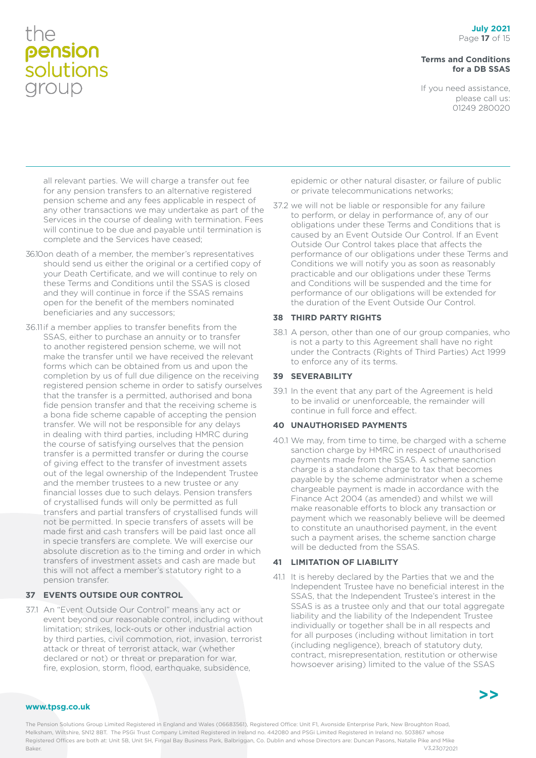#### **Terms and Conditions for a DB SSAS**

If you need assistance, please call us: 01249 280020

all relevant parties. We will charge a transfer out fee for any pension transfers to an alternative registered pension scheme and any fees applicable in respect of any other transactions we may undertake as part of the Services in the course of dealing with termination. Fees will continue to be due and payable until termination is complete and the Services have ceased;

- 36.10on death of a member, the member's representatives should send us either the original or a certified copy of your Death Certificate, and we will continue to rely on these Terms and Conditions until the SSAS is closed and they will continue in force if the SSAS remains open for the benefit of the members nominated beneficiaries and any successors;
- 36.11if a member applies to transfer benefits from the SSAS, either to purchase an annuity or to transfer to another registered pension scheme, we will not make the transfer until we have received the relevant forms which can be obtained from us and upon the completion by us of full due diligence on the receiving registered pension scheme in order to satisfy ourselves that the transfer is a permitted, authorised and bona fide pension transfer and that the receiving scheme is a bona fide scheme capable of accepting the pension transfer. We will not be responsible for any delays in dealing with third parties, including HMRC during the course of satisfying ourselves that the pension transfer is a permitted transfer or during the course of giving effect to the transfer of investment assets out of the legal ownership of the Independent Trustee and the member trustees to a new trustee or any financial losses due to such delays. Pension transfers of crystallised funds will only be permitted as full transfers and partial transfers of crystallised funds will not be permitted. In specie transfers of assets will be made first and cash transfers will be paid last once all in specie transfers are complete. We will exercise our absolute discretion as to the timing and order in which transfers of investment assets and cash are made but this will not affect a member's statutory right to a pension transfer.

#### **37 EVENTS OUTSIDE OUR CONTROL**

37.1 An "Event Outside Our Control" means any act or event beyond our reasonable control, including without limitation; strikes, lock-outs or other industrial action by third parties, civil commotion, riot, invasion, terrorist attack or threat of terrorist attack, war (whether declared or not) or threat or preparation for war, fire, explosion, storm, flood, earthquake, subsidence,

epidemic or other natural disaster, or failure of public or private telecommunications networks;

37.2 we will not be liable or responsible for any failure to perform, or delay in performance of, any of our obligations under these Terms and Conditions that is caused by an Event Outside Our Control. If an Event Outside Our Control takes place that affects the performance of our obligations under these Terms and Conditions we will notify you as soon as reasonably practicable and our obligations under these Terms and Conditions will be suspended and the time for performance of our obligations will be extended for the duration of the Event Outside Our Control.

#### **38 THIRD PARTY RIGHTS**

38.1 A person, other than one of our group companies, who is not a party to this Agreement shall have no right under the Contracts (Rights of Third Parties) Act 1999 to enforce any of its terms.

#### **39 SEVERABILITY**

39.1 In the event that any part of the Agreement is held to be invalid or unenforceable, the remainder will continue in full force and effect.

#### **40 UNAUTHORISED PAYMENTS**

40.1 We may, from time to time, be charged with a scheme sanction charge by HMRC in respect of unauthorised payments made from the SSAS. A scheme sanction charge is a standalone charge to tax that becomes payable by the scheme administrator when a scheme chargeable payment is made in accordance with the Finance Act 2004 (as amended) and whilst we will make reasonable efforts to block any transaction or payment which we reasonably believe will be deemed to constitute an unauthorised payment, in the event such a payment arises, the scheme sanction charge will be deducted from the SSAS.

#### **41 LIMITATION OF LIABILITY**

41.1 It is hereby declared by the Parties that we and the Independent Trustee have no beneficial interest in the SSAS, that the Independent Trustee's interest in the SSAS is as a trustee only and that our total aggregate liability and the liability of the Independent Trustee individually or together shall be in all respects and for all purposes (including without limitation in tort (including negligence), breach of statutory duty, contract, misrepresentation, restitution or otherwise howsoever arising) limited to the value of the SSAS



#### **www.tpsg.co.uk**